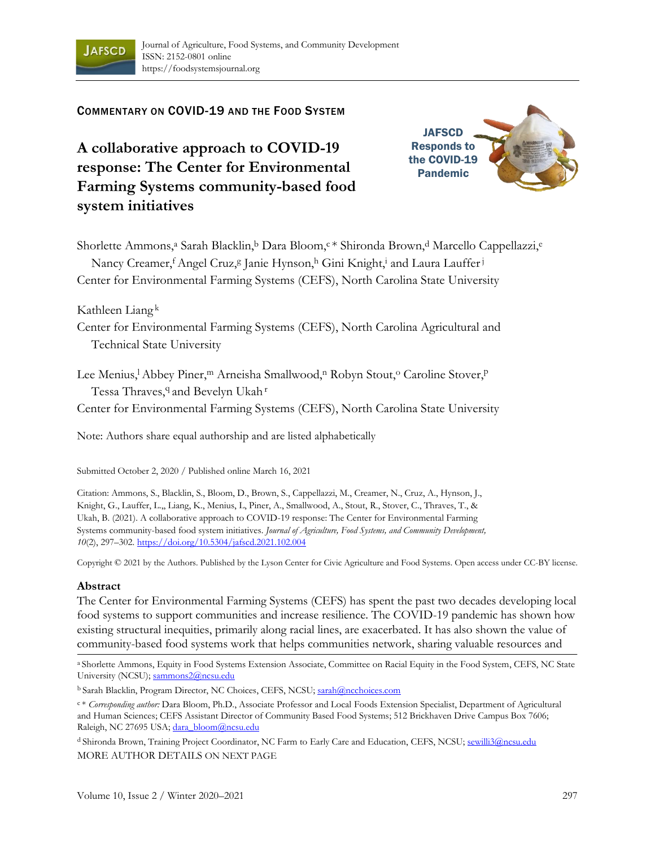

# COMMENTARY ON COVID-19 AND THE FOOD SYSTEM

**A collaborative approach to COVID-19 response: The Center for Environmental Farming Systems community-based food system initiatives**



Shorlette Ammons,<sup>a</sup> Sarah Blacklin,<sup>b</sup> Dara Bloom,<sup>c \*</sup> Shironda Brown,<sup>d</sup> Marcello Cappellazzi,<sup>e</sup> Nancy Creamer, <sup>f</sup>Angel Cruz, g Janie Hynson, <sup>h</sup> Gini Knight, <sup>i</sup> and Laura Lauffer<sup>j</sup> Center for Environmental Farming Systems (CEFS), North Carolina State University

Kathleen Liang <sup>k</sup>

Center for Environmental Farming Systems (CEFS), North Carolina Agricultural and Technical State University

Lee Menius,<sup>1</sup> Abbey Piner,<sup>m</sup> Arneisha Smallwood,<sup>n</sup> Robyn Stout,<sup>o</sup> Caroline Stover,<sup>p</sup> Tessa Thraves, <sup>q</sup> and Bevelyn Ukah<sup>r</sup>

Center for Environmental Farming Systems (CEFS), North Carolina State University

Note: Authors share equal authorship and are listed alphabetically

Submitted October 2, 2020 / Published online March 16, 2021

Citation: Ammons, S., Blacklin, S., Bloom, D., Brown, S., Cappellazzi, M., Creamer, N., Cruz, A., Hynson, J., Knight, G., Lauffer, L.,, Liang, K., Menius, L, Piner, A., Smallwood, A., Stout, R., Stover, C., Thraves, T., & Ukah, B. (2021). A collaborative approach to COVID-19 response: The Center for Environmental Farming Systems community-based food system initiatives. *Journal of Agriculture, Food Systems, and Community Development, 10*(2), 297–302. https://doi.org/10.5304/jafscd.2021.102.004

Copyright © 2021 by the Authors. Published by the Lyson Center for Civic Agriculture and Food Systems. Open access under CC-BY license.

#### **Abstract**

The Center for Environmental Farming Systems (CEFS) has spent the past two decades developing local food systems to support communities and increase resilience. The COVID-19 pandemic has shown how existing structural inequities, primarily along racial lines, are exacerbated. It has also shown the value of community-based food systems work that helps communities network, sharing valuable resources and

a Shorlette Ammons, Equity in Food Systems Extension Associate, Committee on Racial Equity in the Food System, CEFS, NC State University (NCSU); sammons2@ncsu.edu

b Sarah Blacklin, Program Director, NC Choices, CEFS, NCSU; sarah@ncchoices.com

<sup>c</sup> \* *Corresponding author:* Dara Bloom, Ph.D., Associate Professor and Local Foods Extension Specialist, Department of Agricultural and Human Sciences; CEFS Assistant Director of Community Based Food Systems; 512 Brickhaven Drive Campus Box 7606; Raleigh, NC 27695 USA; dara\_bloom@ncsu.edu

<sup>d</sup> Shironda Brown, Training Project Coordinator, NC Farm to Early Care and Education, CEFS, NCSU; sewilli3@ncsu.edu MORE AUTHOR DETAILS ON NEXT PAGE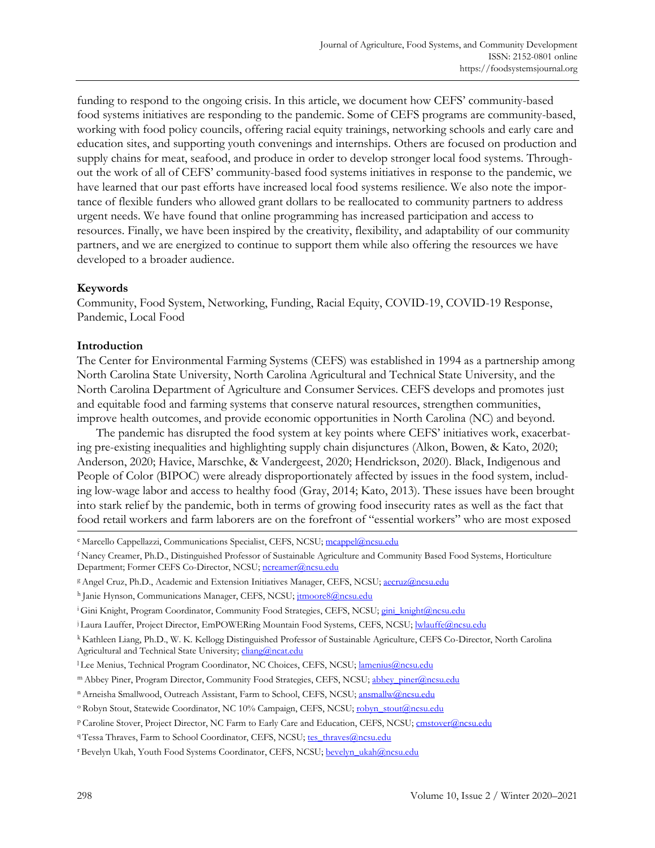funding to respond to the ongoing crisis. In this article, we document how CEFS' community-based food systems initiatives are responding to the pandemic. Some of CEFS programs are community-based, working with food policy councils, offering racial equity trainings, networking schools and early care and education sites, and supporting youth convenings and internships. Others are focused on production and supply chains for meat, seafood, and produce in order to develop stronger local food systems. Throughout the work of all of CEFS' community-based food systems initiatives in response to the pandemic, we have learned that our past efforts have increased local food systems resilience. We also note the importance of flexible funders who allowed grant dollars to be reallocated to community partners to address urgent needs. We have found that online programming has increased participation and access to resources. Finally, we have been inspired by the creativity, flexibility, and adaptability of our community partners, and we are energized to continue to support them while also offering the resources we have developed to a broader audience.

#### **Keywords**

Community, Food System, Networking, Funding, Racial Equity, COVID-19, COVID-19 Response, Pandemic, Local Food

## **Introduction**

The Center for Environmental Farming Systems (CEFS) was established in 1994 as a partnership among North Carolina State University, North Carolina Agricultural and Technical State University, and the North Carolina Department of Agriculture and Consumer Services. CEFS develops and promotes just and equitable food and farming systems that conserve natural resources, strengthen communities, improve health outcomes, and provide economic opportunities in North Carolina (NC) and beyond.

The pandemic has disrupted the food system at key points where CEFS' initiatives work, exacerbating pre-existing inequalities and highlighting supply chain disjunctures (Alkon, Bowen, & Kato, 2020; Anderson, 2020; Havice, Marschke, & Vandergeest, 2020; Hendrickson, 2020). Black, Indigenous and People of Color (BIPOC) were already disproportionately affected by issues in the food system, including low-wage labor and access to healthy food (Gray, 2014; Kato, 2013). These issues have been brought into stark relief by the pandemic, both in terms of growing food insecurity rates as well as the fact that food retail workers and farm laborers are on the forefront of "essential workers" who are most exposed

e Marcello Cappellazzi, Communications Specialist, CEFS, NCSU; mcappel@ncsu.edu

<sup>f</sup> Nancy Creamer, Ph.D., Distinguished Professor of Sustainable Agriculture and Community Based Food Systems, Horticulture Department; Former CEFS Co-Director, NCSU; ncreamer@ncsu.edu

<sup>&</sup>lt;sup>g</sup> Angel Cruz, Ph.D., Academic and Extension Initiatives Manager, CEFS, NCSU; aecruz@ncsu.edu

h Janie Hynson, Communications Manager, CEFS, NCSU; jtmoore8@ncsu.edu

<sup>&</sup>lt;sup>i</sup> Gini Knight, Program Coordinator, Community Food Strategies, CEFS, NCSU; gini\_knight@ncsu.edu

<sup>&</sup>lt;sup>j</sup> Laura Lauffer, Project Director, EmPOWERing Mountain Food Systems, CEFS, NCSU; lwlauffe@ncsu.edu

<sup>k</sup> Kathleen Liang, Ph.D., W. K. Kellogg Distinguished Professor of Sustainable Agriculture, CEFS Co-Director, North Carolina Agricultural and Technical State University; cliang@ncat.edu

<sup>&</sup>lt;sup>1</sup> Lee Menius, Technical Program Coordinator, NC Choices, CEFS, NCSU; lamenius@ncsu.edu

m Abbey Piner, Program Director, Community Food Strategies, CEFS, NCSU; abbey\_piner@ncsu.edu

n Arneisha Smallwood, Outreach Assistant, Farm to School, CEFS, NCSU; ansmallw@ncsu.edu

<sup>&</sup>lt;sup>o</sup> Robyn Stout, Statewide Coordinator, NC 10% Campaign, CEFS, NCSU; robyn\_stout@ncsu.edu

<sup>p</sup> Caroline Stover, Project Director, NC Farm to Early Care and Education, CEFS, NCSU; cmstover@ncsu.edu

<sup>9</sup> Tessa Thraves, Farm to School Coordinator, CEFS, NCSU; tes\_thraves@ncsu.edu

<sup>&</sup>lt;sup>r</sup> Bevelyn Ukah, Youth Food Systems Coordinator, CEFS, NCSU; bevelyn\_ukah@ncsu.edu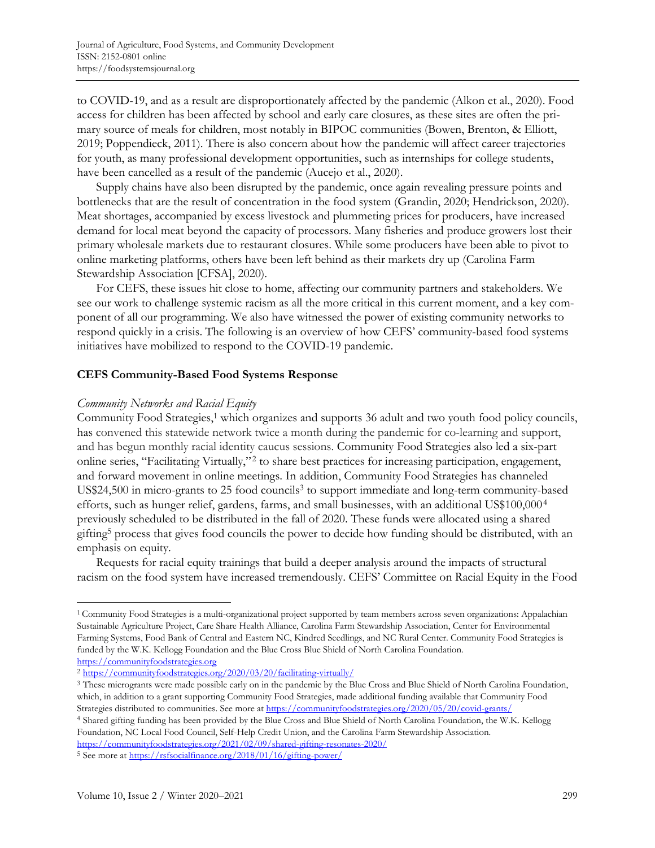to COVID-19, and as a result are disproportionately affected by the pandemic (Alkon et al., 2020). Food access for children has been affected by school and early care closures, as these sites are often the primary source of meals for children, most notably in BIPOC communities (Bowen, Brenton, & Elliott, 2019; Poppendieck, 2011). There is also concern about how the pandemic will affect career trajectories for youth, as many professional development opportunities, such as internships for college students, have been cancelled as a result of the pandemic (Aucejo et al., 2020).

Supply chains have also been disrupted by the pandemic, once again revealing pressure points and bottlenecks that are the result of concentration in the food system (Grandin, 2020; Hendrickson, 2020). Meat shortages, accompanied by excess livestock and plummeting prices for producers, have increased demand for local meat beyond the capacity of processors. Many fisheries and produce growers lost their primary wholesale markets due to restaurant closures. While some producers have been able to pivot to online marketing platforms, others have been left behind as their markets dry up (Carolina Farm Stewardship Association [CFSA], 2020).

For CEFS, these issues hit close to home, affecting our community partners and stakeholders. We see our work to challenge systemic racism as all the more critical in this current moment, and a key component of all our programming. We also have witnessed the power of existing community networks to respond quickly in a crisis. The following is an overview of how CEFS' community-based food systems initiatives have mobilized to respond to the COVID-19 pandemic.

#### **CEFS Community-Based Food Systems Response**

#### *Community Networks and Racial Equity*

Community Food Strategies,<sup>1</sup> which organizes and supports 36 adult and two youth food policy councils, has convened this statewide network twice a month during the pandemic for co-learning and support, and has begun monthly racial identity caucus sessions. Community Food Strategies also led a six-part online series, "Facilitating Virtually," 2 to share best practices for increasing participation, engagement, and forward movement in online meetings. In addition, Community Food Strategies has channeled US\$24,500 in micro-grants to 25 food councils<sup>3</sup> to support immediate and long-term community-based efforts, such as hunger relief, gardens, farms, and small businesses, with an additional US\$100,000 4 previously scheduled to be distributed in the fall of 2020. These funds were allocated using a shared gifting<sup>5</sup> process that gives food councils the power to decide how funding should be distributed, with an emphasis on equity.

Requests for racial equity trainings that build a deeper analysis around the impacts of structural racism on the food system have increased tremendously. CEFS' Committee on Racial Equity in the Food

<sup>4</sup> Shared gifting funding has been provided by the Blue Cross and Blue Shield of North Carolina Foundation, the W.K. Kellogg Foundation, NC Local Food Council, Self-Help Credit Union, and the Carolina Farm Stewardship Association. https://communityfoodstrategies.org/2021/02/09/shared-gifting-resonates-2020/

<sup>5</sup> See more at https://rsfsocialfinance.org/2018/01/16/gifting-power/

<sup>1</sup> Community Food Strategies is a multi-organizational project supported by team members across seven organizations: Appalachian Sustainable Agriculture Project, Care Share Health Alliance, Carolina Farm Stewardship Association, Center for Environmental Farming Systems, Food Bank of Central and Eastern NC, Kindred Seedlings, and NC Rural Center. Community Food Strategies is funded by the W.K. Kellogg Foundation and the Blue Cross Blue Shield of North Carolina Foundation. https://communityfoodstrategies.org

<sup>2</sup> https://communityfoodstrategies.org/2020/03/20/facilitating-virtually/

<sup>3</sup> These microgrants were made possible early on in the pandemic by the Blue Cross and Blue Shield of North Carolina Foundation, which, in addition to a grant supporting Community Food Strategies, made additional funding available that Community Food Strategies distributed to communities. See more at https://communityfoodstrategies.org/2020/05/20/covid-grants/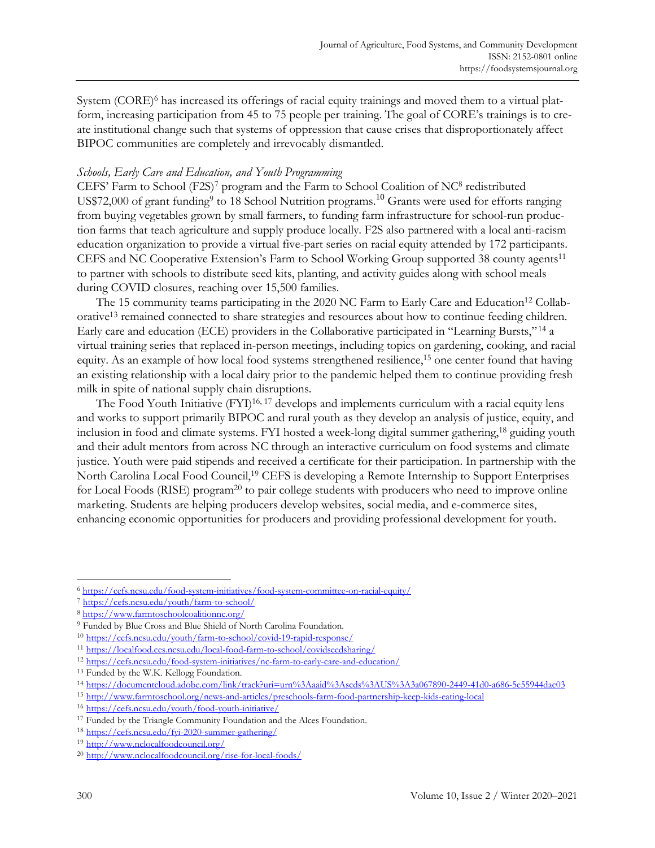System (CORE)<sup>6</sup> has increased its offerings of racial equity trainings and moved them to a virtual platform, increasing participation from 45 to 75 people per training. The goal of CORE's trainings is to create institutional change such that systems of oppression that cause crises that disproportionately affect BIPOC communities are completely and irrevocably dismantled.

## *Schools, Early Care and Education, and Youth Programming*

CEFS' Farm to School (F2S)<sup>7</sup> program and the Farm to School Coalition of NC<sup>8</sup> redistributed US\$72,000 of grant funding<sup>9</sup> to 18 School Nutrition programs.<sup>10</sup> Grants were used for efforts ranging from buying vegetables grown by small farmers, to funding farm infrastructure for school-run production farms that teach agriculture and supply produce locally. F2S also partnered with a local anti-racism education organization to provide a virtual five-part series on racial equity attended by 172 participants. CEFS and NC Cooperative Extension's Farm to School Working Group supported 38 county agents<sup>11</sup> to partner with schools to distribute seed kits, planting, and activity guides along with school meals during COVID closures, reaching over 15,500 families.

The 15 community teams participating in the 2020 NC Farm to Early Care and Education<sup>12</sup> Collaborative<sup>13</sup> remained connected to share strategies and resources about how to continue feeding children. Early care and education (ECE) providers in the Collaborative participated in "Learning Bursts," <sup>14</sup> a virtual training series that replaced in-person meetings, including topics on gardening, cooking, and racial equity. As an example of how local food systems strengthened resilience,<sup>15</sup> one center found that having an existing relationship with a local dairy prior to the pandemic helped them to continue providing fresh milk in spite of national supply chain disruptions.

The Food Youth Initiative  $(FYI)^{16,17}$  develops and implements curriculum with a racial equity lens and works to support primarily BIPOC and rural youth as they develop an analysis of justice, equity, and inclusion in food and climate systems. FYI hosted a week-long digital summer gathering, <sup>18</sup> guiding youth and their adult mentors from across NC through an interactive curriculum on food systems and climate justice. Youth were paid stipends and received a certificate for their participation. In partnership with the North Carolina Local Food Council, <sup>19</sup> CEFS is developing a Remote Internship to Support Enterprises for Local Foods (RISE) program<sup>20</sup> to pair college students with producers who need to improve online marketing. Students are helping producers develop websites, social media, and e-commerce sites, enhancing economic opportunities for producers and providing professional development for youth.

<sup>6</sup> https://cefs.ncsu.edu/food-system-initiatives/food-system-committee-on-racial-equity/

<sup>7</sup> https://cefs.ncsu.edu/youth/farm-to-school/

<sup>8</sup> https://www.farmtoschoolcoalitionnc.org/

<sup>9</sup> Funded by Blue Cross and Blue Shield of North Carolina Foundation.

<sup>10</sup> https://cefs.ncsu.edu/youth/farm-to-school/covid-19-rapid-response/

<sup>11</sup> https://localfood.ces.ncsu.edu/local-food-farm-to-school/covidseedsharing/

<sup>12</sup> https://cefs.ncsu.edu/food-system-initiatives/nc-farm-to-early-care-and-education/

<sup>13</sup> Funded by the W.K. Kellogg Foundation.

<sup>14</sup> https://documentcloud.adobe.com/link/track?uri=urn%3Aaaid%3Ascds%3AUS%3A3a067890-2449-41d0-a686-5e55944dac03

<sup>15</sup> http://www.farmtoschool.org/news-and-articles/preschools-farm-food-partnership-keep-kids-eating-local

<sup>16</sup> https://cefs.ncsu.edu/youth/food-youth-initiative/

<sup>17</sup> Funded by the Triangle Community Foundation and the Alces Foundation.

<sup>18</sup> https://cefs.ncsu.edu/fyi-2020-summer-gathering/

<sup>19</sup> http://www.nclocalfoodcouncil.org/

<sup>20</sup> http://www.nclocalfoodcouncil.org/rise-for-local-foods/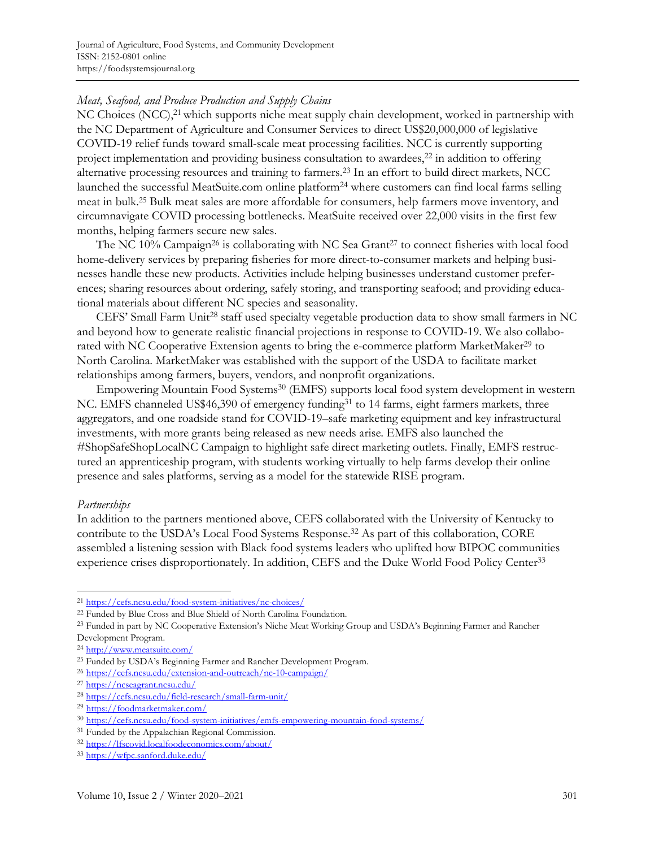# *Meat, Seafood, and Produce Production and Supply Chains*

NC Choices (NCC),<sup>21</sup> which supports niche meat supply chain development, worked in partnership with the NC Department of Agriculture and Consumer Services to direct US\$20,000,000 of legislative COVID-19 relief funds toward small-scale meat processing facilities. NCC is currently supporting project implementation and providing business consultation to awardees,<sup>22</sup> in addition to offering alternative processing resources and training to farmers.<sup>23</sup> In an effort to build direct markets, NCC launched the successful MeatSuite.com online platform<sup>24</sup> where customers can find local farms selling meat in bulk.<sup>25</sup> Bulk meat sales are more affordable for consumers, help farmers move inventory, and circumnavigate COVID processing bottlenecks. MeatSuite received over 22,000 visits in the first few months, helping farmers secure new sales.

The NC 10% Campaign<sup>26</sup> is collaborating with NC Sea Grant<sup>27</sup> to connect fisheries with local food home-delivery services by preparing fisheries for more direct-to-consumer markets and helping businesses handle these new products. Activities include helping businesses understand customer preferences; sharing resources about ordering, safely storing, and transporting seafood; and providing educational materials about different NC species and seasonality.

CEFS' Small Farm Unit<sup>28</sup> staff used specialty vegetable production data to show small farmers in NC and beyond how to generate realistic financial projections in response to COVID-19. We also collaborated with NC Cooperative Extension agents to bring the e-commerce platform MarketMaker<sup>29</sup> to North Carolina. MarketMaker was established with the support of the USDA to facilitate market relationships among farmers, buyers, vendors, and nonprofit organizations.

Empowering Mountain Food Systems<sup>30</sup> (EMFS) supports local food system development in western NC. EMFS channeled US\$46,390 of emergency funding<sup>31</sup> to 14 farms, eight farmers markets, three aggregators, and one roadside stand for COVID-19–safe marketing equipment and key infrastructural investments, with more grants being released as new needs arise. EMFS also launched the #ShopSafeShopLocalNC Campaign to highlight safe direct marketing outlets. Finally, EMFS restructured an apprenticeship program, with students working virtually to help farms develop their online presence and sales platforms, serving as a model for the statewide RISE program.

#### *Partnerships*

In addition to the partners mentioned above, CEFS collaborated with the University of Kentucky to contribute to the USDA's Local Food Systems Response. <sup>32</sup> As part of this collaboration, CORE assembled a listening session with Black food systems leaders who uplifted how BIPOC communities experience crises disproportionately. In addition, CEFS and the Duke World Food Policy Center<sup>33</sup>

<sup>21</sup> https://cefs.ncsu.edu/food-system-initiatives/nc-choices/

<sup>22</sup> Funded by Blue Cross and Blue Shield of North Carolina Foundation.

<sup>&</sup>lt;sup>23</sup> Funded in part by NC Cooperative Extension's Niche Meat Working Group and USDA's Beginning Farmer and Rancher Development Program.

<sup>24</sup> http://www.meatsuite.com/

<sup>25</sup> Funded by USDA's Beginning Farmer and Rancher Development Program.

<sup>26</sup> https://cefs.ncsu.edu/extension-and-outreach/nc-10-campaign/

<sup>27</sup> https://ncseagrant.ncsu.edu/

<sup>28</sup> https://cefs.ncsu.edu/field-research/small-farm-unit/

<sup>29</sup> https://foodmarketmaker.com/

<sup>30</sup> https://cefs.ncsu.edu/food-system-initiatives/emfs-empowering-mountain-food-systems/

<sup>31</sup> Funded by the Appalachian Regional Commission.

<sup>32</sup> https://lfscovid.localfoodeconomics.com/about/

<sup>33</sup> https://wfpc.sanford.duke.edu/